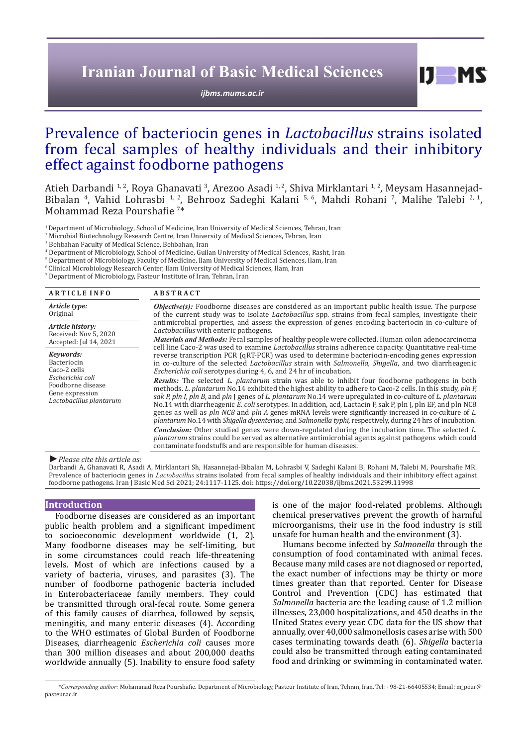# **Iranian Journal of Basic Medical Sciences**

*ijbms.mums.ac.ir*

# Prevalence of bacteriocin genes in *Lactobacillus* strains isolated from fecal samples of healthy individuals and their inhibitory effect against foodborne pathogens

Atieh Darbandi <sup>1, 2</sup>, Roya Ghanavati <sup>3</sup>, Arezoo Asadi <sup>1, 2</sup>, Shiva Mirklantari <sup>1, 2</sup>, Meysam Hasannejad-Bibalan <sup>4</sup>, Vahid Lohrasbi <sup>1, 2</sup>, Behrooz Sadeghi Kalani <sup>5, 6</sup>, Mahdi Rohani <sup>7</sup>, Malihe Talebi <sup>2, 1</sup>, Mohammad Reza Pourshafie <sup>7</sup> \*

<sup>1</sup> Department of Microbiology, School of Medicine, Iran University of Medical Sciences, Tehran, Iran

2 Microbial Biotechnology Research Centre, Iran University of Medical Sciences, Tehran, Iran

3 Behbahan Faculty of Medical Science, Behbahan, Iran

4 Department of Microbiology, School of Medicine, Guilan University of Medical Sciences, Rasht, Iran

5 Department of Microbiology, Faculty of Medicine, Ilam University of Medical Sciences, Ilam, Iran

6 Clinical Microbiology Research Center, Ilam University of Medical Sciences, Ilam, Iran

7 Department of Microbiology, Pasteur Institute of Iran, Tehran, Iran

| <b>ARTICLE INFO</b>                                                                                                             | <b>ABSTRACT</b>                                                                                                                                                                                                                                                                                                                                                                                                                                                                                                                                                                                                                                                                                                                                                                                                                                                                                                                                                |  |  |
|---------------------------------------------------------------------------------------------------------------------------------|----------------------------------------------------------------------------------------------------------------------------------------------------------------------------------------------------------------------------------------------------------------------------------------------------------------------------------------------------------------------------------------------------------------------------------------------------------------------------------------------------------------------------------------------------------------------------------------------------------------------------------------------------------------------------------------------------------------------------------------------------------------------------------------------------------------------------------------------------------------------------------------------------------------------------------------------------------------|--|--|
| Article type:<br>Original                                                                                                       | <b><i>Objective(s)</i></b> : Foodborne diseases are considered as an important public health issue. The purpose<br>of the current study was to isolate <i>Lactobacillus</i> spp. strains from fecal samples, investigate their                                                                                                                                                                                                                                                                                                                                                                                                                                                                                                                                                                                                                                                                                                                                 |  |  |
| Article history:<br>Received: Nov 5, 2020<br>Accepted: Jul 14, 2021                                                             | antimicrobial properties, and assess the expression of genes encoding bacteriocin in co-culture of<br>Lactobacillus with enteric pathogens.                                                                                                                                                                                                                                                                                                                                                                                                                                                                                                                                                                                                                                                                                                                                                                                                                    |  |  |
|                                                                                                                                 | <i>Materials and Methods:</i> Fecal samples of healthy people were collected. Human colon adenocarcinoma<br>cell line Caco-2 was used to examine Lactobacillus strains adherence capacity. Quantitative real-time                                                                                                                                                                                                                                                                                                                                                                                                                                                                                                                                                                                                                                                                                                                                              |  |  |
| Kevwords:<br>Bacteriocin<br>Caco-2 cells<br>Escherichia coli<br>Foodborne disease<br>Gene expression<br>Lactobacillus plantarum | reverse transcription PCR (qRT-PCR) was used to determine bacteriocin-encoding genes expression<br>in co-culture of the selected <i>Lactobacillus</i> strain with <i>Salmonella</i> , <i>Shigella</i> , and two diarrheagenic<br><i>Escherichia coli</i> serotypes during 4, 6, and 24 hr of incubation.                                                                                                                                                                                                                                                                                                                                                                                                                                                                                                                                                                                                                                                       |  |  |
|                                                                                                                                 | <b>Results:</b> The selected L. plantarum strain was able to inhibit four foodborne pathogens in both<br>methods. L. plantarum No.14 exhibited the highest ability to adhere to Caco-2 cells. In this study, pln F.<br>sak P, pln I, pln B, and pln I genes of L. plantarum No.14 were upregulated in co-culture of L. plantarum<br>No.14 with diarrheagenic E. coli serotypes. In addition, acd, Lactacin F, sak P, pln J, pln EF, and pln NC8<br>genes as well as $pln NCB$ and $pln A$ genes mRNA levels were significantly increased in co-culture of L.<br>plantarum No.14 with Shigella dysenteriae, and Salmonella typhi, respectively, during 24 hrs of incubation.<br><b>Conclusion:</b> Other studied genes were down-regulated during the incubation time. The selected L.<br>plantarum strains could be served as alternative antimicrobial agents against pathogens which could<br>contaminate foodstuffs and are responsible for human diseases. |  |  |

*►Please cite this article as:*

Darbandi A, Ghanavati R, Asadi A, Mirklantari Sh, Hasannejad-Bibalan M, Lohrasbi V, Sadeghi Kalani B, Rohani M, Talebi M, Pourshafie MR. Prevalence of bacteriocin genes in *Lactobacillus* strains isolated from fecal samples of healthy individuals and their inhibitory effect against foodborne pathogens. Iran J Basic Med Sci 2021; 24:1117-1125. doi: https://doi.org/10.22038/ijbms.2021.53299.11998

#### **Introduction**

Foodborne diseases are considered as an important public health problem and a significant impediment to socioeconomic development worldwide (1, 2). Many foodborne diseases may be self-limiting, but in some circumstances could reach life-threatening levels. Most of which are infections caused by a variety of bacteria, viruses, and parasites (3). The number of foodborne pathogenic bacteria included in Enterobacteriaceae family members. They could be transmitted through oral-fecal route. Some genera of this family causes of diarrhea, followed by sepsis, meningitis, and many enteric diseases (4). According to the WHO estimates of Global Burden of Foodborne Diseases, diarrheagenic *Escherichia coli* causes more than 300 million diseases and about 200,000 deaths worldwide annually (5). Inability to ensure food safety

is one of the major food-related problems. Although chemical preservatives prevent the growth of harmful microorganisms, their use in the food industry is still unsafe for human health and the environment (3).

 $I$   $I$   $M$   $S$ 

Humans become infected by *Salmonella* through the consumption of food contaminated with animal feces. Because many mild cases are not diagnosed or reported, the exact number of infections may be thirty or more times greater than that reported. Center for Disease Control and Prevention (CDC) has estimated that *Salmonella* bacteria are the leading cause of 1.2 million illnesses, 23,000 hospitalizations, and 450 deaths in the United States every year. CDC data for the US show that annually, over 40,000 salmonellosis cases arise with 500 cases terminating towards death (6). *Shigella* bacteria could also be transmitted through eating contaminated food and drinking or swimming in contaminated water.

*\*Corresponding author:* Mohammad Reza Pourshafie. Department of Microbiology, Pasteur Institute of Iran, Tehran, Iran. Tel: +98-21-66405534; Email: m\_pour@ pasteur.ac.ir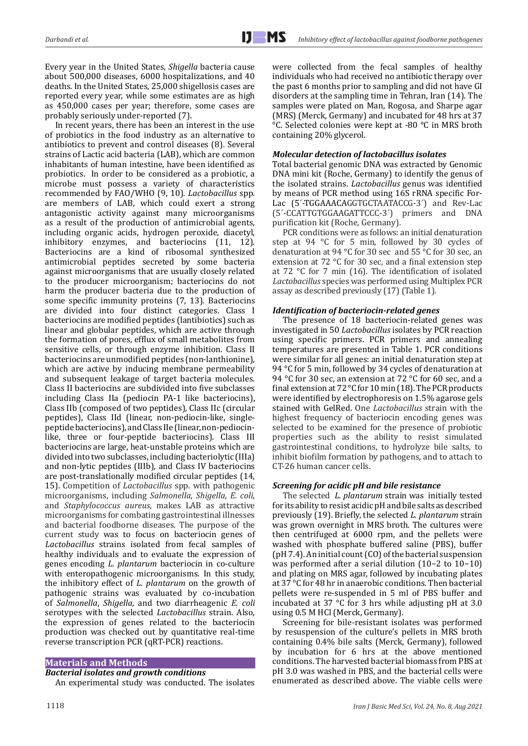Every year in the United States, *Shigella* bacteria cause about 500,000 diseases, 6000 hospitalizations, and 40 deaths. In the United States, 25,000 shigellosis cases are reported every year, while some estimates are as high as 450,000 cases per year; therefore, some cases are probably seriously under-reported (7).

In recent years, there has been an interest in the use of probiotics in the food industry as an alternative to antibiotics to prevent and control diseases (8). Several strains of Lactic acid bacteria (LAB), which are common inhabitants of human intestine, have been identified as probiotics. In order to be considered as a probiotic, a microbe must possess a variety of characteristics recommended by FAO/WHO (9, 10). *Lactobacillus* spp. are members of LAB, which could exert a strong antagonistic activity against many microorganisms as a result of the production of antimicrobial agents, including organic acids, hydrogen peroxide, diacetyl, inhibitory enzymes, and bacteriocins (11, 12). Bacteriocins are a kind of ribosomal synthesized antimicrobial peptides secreted by some bacteria against microorganisms that are usually closely related to the producer microorganism; bacteriocins do not harm the producer bacteria due to the production of some specific immunity proteins (7, 13). Bacteriocins are divided into four distinct categories. Class I bacteriocins are modified peptides (lantibiotics) such as linear and globular peptides, which are active through the formation of pores, efflux of small metabolites from sensitive cells, or through enzyme inhibition. Class II bacteriocins are unmodified peptides (non-lanthionine), which are active by inducing membrane permeability and subsequent leakage of target bacteria molecules. Class II bacteriocins are subdivided into five subclasses including Class IIa (pediocin PA-1 like bacteriocins), Class IIb (composed of two peptides), Class IIc (circular peptides), Class IId (linear, non-pediocin-like, singlepeptide bacteriocins), and Class IIe (linear, non-pediocinlike, three or four-peptide bacteriocins). Class III bacteriocins are large, heat-unstable proteins which are divided into two subclasses, including bacteriolytic (IIIa) and non-lytic peptides (IIIb), and Class IV bacteriocins are post-translationally modified circular peptides (14, 15). Competition of *Lactobacillus* spp. with pathogenic microorganisms, including *Salmonella*, *Shigella*, *E. coli*, and *Staphylococcus aureus*, makes LAB as attractive microorganisms for combating gastrointestinal illnesses and bacterial foodborne diseases. The purpose of the current study was to focus on bacteriocin genes of *Lactobacillus* strains isolated from fecal samples of healthy individuals and to evaluate the expression of genes encoding *L. plantarum* bacteriocin in co-culture with enteropathogenic microorganisms. In this study, the inhibitory effect of *L. plantarum* on the growth of pathogenic strains was evaluated by co-incubation of *Salmonella*, *Shigella,* and two diarrheagenic *E. coli* serotypes with the selected *Lactobacillus* strain. Also, the expression of genes related to the bacteriocin production was checked out by quantitative real-time reverse transcription PCR (qRT-PCR) reactions.

# **Materials and Methods**

## *Bacterial isolates and growth conditions*

An experimental study was conducted. The isolates

were collected from the fecal samples of healthy individuals who had received no antibiotic therapy over the past 6 months prior to sampling and did not have GI disorders at the sampling time in Tehran, Iran (14). The samples were plated on Man, Rogosa, and Sharpe agar (MRS) (Merck, Germany) and incubated for 48 hrs at 37 °C. Selected colonies were kept at -80 °C in MRS broth containing 20% glycerol.

# *Molecular detection of lactobacillus isolates*

Total bacterial genomic DNA was extracted by Genomic DNA mini kit (Roche, Germany) to identify the genus of the isolated strains. *Lactobacillus* genus was identified by means of PCR method using 16S rRNA specific For-Lac (5´-TGGAAACAGGTGCTAATACCG-3´) and Rev-Lac (5´-CCATTGTGGAAGATTCCC-3´) primers and DNA purification kit (Roche, Germany).

PCR conditions were as follows: an initial denaturation step at 94 °C for 5 min, followed by 30 cycles of denaturation at 94 °C for 30 sec and 55 °C for 30 sec, an extension at 72 °C for 30 sec, and a final extension step at 72 °C for 7 min (16). The identification of isolated *Lactobacillus* species was performed using Multiplex PCR assay as described previously (17) (Table 1).

# *Identification of bacteriocin-related genes*

The presence of 18 bacteriocin-related genes was investigated in 50 *Lactobacillus* isolates by PCR reaction using specific primers. PCR primers and annealing temperatures are presented in Table 1. PCR conditions were similar for all genes: an initial denaturation step at 94 °C for 5 min, followed by 34 cycles of denaturation at 94 °C for 30 sec, an extension at 72 °C for 60 sec, and a final extension at 72 °C for 10 min (18). The PCR products were identified by electrophoresis on 1.5% agarose gels stained with GelRed. One *Lactobacillus* strain with the highest frequency of bacteriocin encoding genes was selected to be examined for the presence of probiotic properties such as the ability to resist simulated gastrointestinal conditions, to hydrolyze bile salts, to inhibit biofilm formation by pathogens, and to attach to CT-26 human cancer cells.

# *Screening for acidic pH and bile resistance*

The selected *L. plantarum* strain was initially tested for its ability to resist acidic pH and bile salts as described previously (19). Briefly, the selected *L. plantarum* strain was grown overnight in MRS broth. The cultures were then centrifuged at 6000 rpm, and the pellets were washed with phosphate buffered saline (PBS), buffer (pH 7.4). An initial count (CO) of the bacterial suspension was performed after a serial dilution (10−2 to 10−10) and plating on MRS agar, followed by incubating plates at 37 °C for 48 hr in anaerobic conditions. Then bacterial pellets were re-suspended in 5 ml of PBS buffer and incubated at 37 °C for 3 hrs while adjusting pH at 3.0 using 0.5 M HCl (Merck, Germany).

Screening for bile-resistant isolates was performed by resuspension of the culture's pellets in MRS broth containing 0.4% bile salts (Merck, Germany), followed by incubation for 6 hrs at the above mentioned conditions. The harvested bacterial biomass from PBS at pH 3.0 was washed in PBS, and the bacterial cells were enumerated as described above. The viable cells were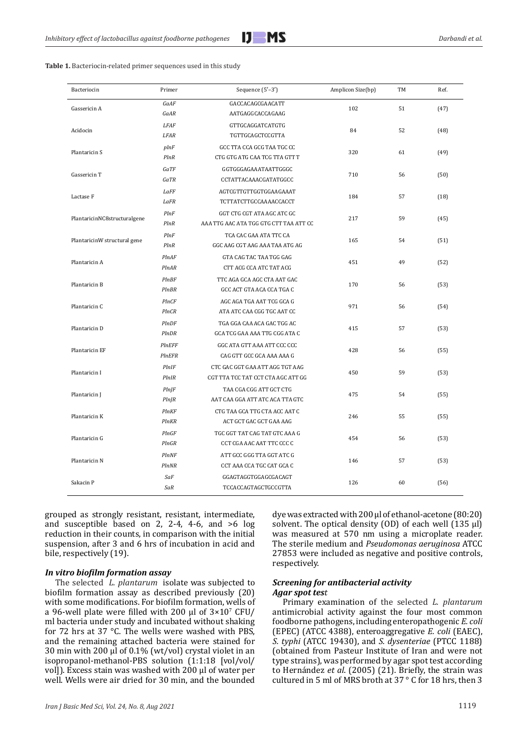

| <b>Table 1.</b> Bacteriocin-related primer sequences used in this study |  |
|-------------------------------------------------------------------------|--|
|-------------------------------------------------------------------------|--|

| Bacteriocin                  | Primer                       | Sequence $(5'-3')$                                                    | Amplicon Size(bp) | TM | Ref. |
|------------------------------|------------------------------|-----------------------------------------------------------------------|-------------------|----|------|
| Gassericin A                 | GaAF<br>GaAR                 | GACCACAGCGAACATT<br>AATGAGGCACCAGAAG                                  | 102               | 51 | (47) |
| Acidocin                     | <b>LFAF</b><br>LFAR          | GTTGCAGGATCATGTG<br>TGTTGCAGCTCCGTTA                                  | 84                | 52 | (48) |
| Plantaricin S                | plnF<br>PlnR                 | GCC TTA CCA GCG TAA TGC CC<br>CTG GTG ATG CAA TCG TTA GTT T           | 320               | 61 | (49) |
| Gassericin T                 | GaTF<br>GaTR                 | GGTGGGAGAAATAATTGGGC<br>CCTATTACAAACGATATGGCC                         | 710               | 56 | (50) |
| Lactase F                    | LaFF<br>LaFR                 | AGTCGTTGTTGGTGGAAGAAAT<br>TCTTATCTTGCCAAAACCACCT                      | 184               | 57 | (18) |
| PlantaricinNC8structuralgene | PlnF<br>PlnR                 | GGT CTG CGT ATA AGC ATC GC<br>AAA TTG AAC ATA TGG GTG CTT TAA ATT CC  | 217               | 59 | (45) |
| PlantaricinW structural gene | PlnF<br>PlnR                 | TCA CAC GAA ATA TTC CA<br>GGC AAG CGT AAG AAA TAA ATG AG              | 165               | 54 | (51) |
| Plantaricin A                | PlnAF<br>PlnAR               | GTA CAG TAC TAA TGG GAG<br>CTT ACG CCA ATC TAT ACG                    | 451               | 49 | (52) |
| Plantaricin B                | <b>PInBF</b><br><b>PInBR</b> | TTC AGA GCA AGC CTA AAT GAC<br>GCC ACT GTA ACA CCA TGA C              | 170               | 56 | (53) |
| Plantaricin C                | PInCF<br>PlnCR               | AGC AGA TGA AAT TCG GCA G<br>ATA ATC CAA CGG TGC AAT CC               | 971               | 56 | (54) |
| Plantaricin D                | PlnDF<br>PlnDR               | TGA GGA CAA ACA GAC TGG AC<br>GCA TCG GAA AAA TTG CGG ATA C           | 415               | 57 | (53) |
| Plantaricin EF               | <b>PInEFF</b><br>PInEFR      | GGC ATA GTT AAA ATT CCC CCC<br>CAG GTT GCC GCA AAA AAA G              | 428               | 56 | (55) |
| Plantaricin I                | PlnIF<br>PlnIR               | CTC GAC GGT GAA ATT AGG TGT AAG<br>CGT TTA TCC TAT CCT CTA AGC ATT GG | 450               | 59 | (53) |
| Plantaricin J                | $Pln$ $ F $<br>$Pln$ $IR$    | TAA CGA CGG ATT GCT CTG<br>AAT CAA GGA ATT ATC ACA TTA GTC            | 475               | 54 | (55) |
| Plantaricin K                | PlnKF<br>PlnKR               | CTG TAA GCA TTG CTA ACC AAT C<br>ACT GCT GAC GCT GAA AAG              | 246               | 55 | (55) |
| Plantaricin G                | PInGF<br>PlnGR               | TGC GGT TAT CAG TAT GTC AAA G<br>CCT CGA AAC AAT TTC CCC C            | 454               | 56 | (53) |
| Plantaricin N                | <b>PInNF</b><br>PlnNR        | ATT GCC GGG TTA GGT ATC G<br>CCT AAA CCA TGC CAT GCA C                | 146               | 57 | (53) |
| Sakacin P                    | SaF<br>SaR                   | GGAGTAGGTGGAGCGACAGT<br>TCCACCAGTAGCTGCCGTTA                          | 126               | 60 | (56) |

grouped as strongly resistant, resistant, intermediate, and susceptible based on 2, 2-4, 4-6, and  $>6$  log reduction in their counts, in comparison with the initial suspension, after 3 and 6 hrs of incubation in acid and bile, respectively (19).

## *In vitro biofilm formation assay*

The selected *L. plantarum* isolate was subjected to biofilm formation assay as described previously (20) with some modifications. For biofilm formation, wells of a 96-well plate were filled with 200  $\mu$ l of 3×10<sup>7</sup> CFU/ ml bacteria under study and incubated without shaking for 72 hrs at 37 °C. The wells were washed with PBS, and the remaining attached bacteria were stained for 30 min with 200 μl of 0.1% (wt/vol) crystal violet in an isopropanol-methanol-PBS solution (1:1:18 [vol/vol/ vol]). Excess stain was washed with 200 μl of water per well. Wells were air dried for 30 min, and the bounded

dye was extracted with 200 μl of ethanol-acetone (80:20) solvent. The optical density (OD) of each well (135 μl) was measured at 570 nm using a microplate reader. The sterile medium and *Pseudomonas aeruginosa* ATCC 27853 were included as negative and positive controls, respectively.

# *Screening for antibacterial activity Agar spot test*

Primary examination of the selected *L. plantarum* antimicrobial activity against the four most common foodborne pathogens, including enteropathogenic *E. coli* (EPEC) (ATCC 4388), enteroaggregative *E. coli* (EAEC), *S. typhi* (ATCC 19430), and *S. dysenteriae* (PTCC 1188) (obtained from Pasteur Institute of Iran and were not type strains), was performed by agar spot test according to Hernández *et al*. (2005) (21). Briefly, the strain was cultured in 5 ml of MRS broth at 37 ° C for 18 hrs, then 3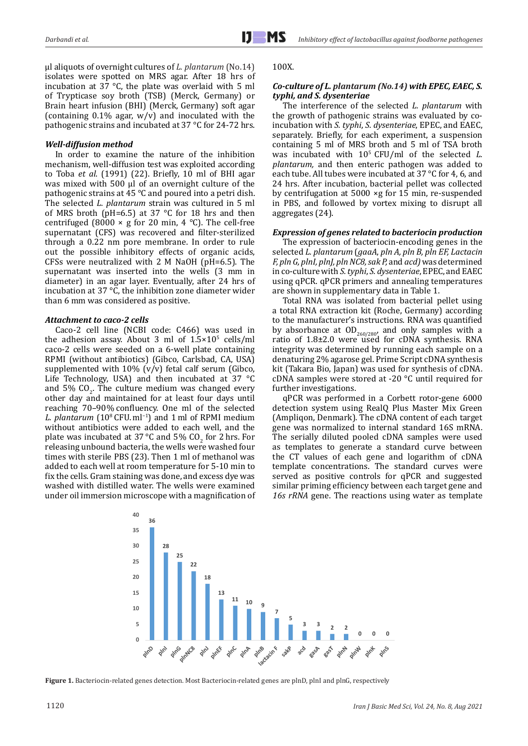μl aliquots of overnight cultures of *L. plantarum* (No.14) isolates were spotted on MRS agar. After 18 hrs of incubation at 37 °C, the plate was overlaid with 5 ml of Trypticase soy broth (TSB) (Merck, Germany) or Brain heart infusion (BHI) (Merck, Germany) soft agar (containing  $0.1\%$  agar,  $w/v$ ) and inoculated with the pathogenic strains and incubated at 37 °C for 24-72 hrs.

# *Well-diffusion method*

In order to examine the nature of the inhibition mechanism, well-diffusion test was exploited according to Toba *et al*. (1991) (22). Briefly, 10 ml of BHI agar was mixed with 500 μl of an overnight culture of the pathogenic strains at 45 °C and poured into a petri dish. The selected *L. plantarum* strain was cultured in 5 ml of MRS broth ( $pH=6.5$ ) at 37 °C for 18 hrs and then centrifuged (8000  $\times$  g for 20 min, 4 °C). The cell-free supernatant (CFS) was recovered and filter-sterilized through a 0.22 nm pore membrane. In order to rule out the possible inhibitory effects of organic acids, CFSs were neutralized with 2 M NaOH (pH=6.5). The supernatant was inserted into the wells (3 mm in diameter) in an agar layer. Eventually, after 24 hrs of incubation at 37 °C, the inhibition zone diameter wider than 6 mm was considered as positive.

# *Attachment to caco-2 cells*

Caco-2 cell line (NCBI code: C466) was used in the adhesion assay. About 3 ml of  $1.5 \times 10^5$  cells/ml caco-2 cells were seeded on a 6-well plate containing RPMI (without antibiotics) (Gibco, Carlsbad, CA, USA) supplemented with  $10\%$  (v/v) fetal calf serum (Gibco, Life Technology, USA) and then incubated at 37 °C and 5%  $CO<sub>2</sub>$ . The culture medium was changed every other day and maintained for at least four days until reaching 70–90 % confluency. One ml of the selected *L. plantarum* (10<sup>8</sup> CFU. ml<sup>−1</sup>) and 1 ml of RPMI medium without antibiotics were added to each well, and the plate was incubated at  $37^{\circ}$ C and  $5\%$  CO<sub>2</sub> for 2 hrs. For releasing unbound bacteria, the wells were washed four times with sterile PBS (23). Then 1 ml of methanol was added to each well at room temperature for 5-10 min to fix the cells. Gram staining was done, and excess dye was washed with distilled water. The wells were examined under oil immersion microscope with a magnification of

## 100X.

# *Co-culture of L. plantarum (No.14) with EPEC, EAEC, S. typhi, and S. dysenteriae*

The interference of the selected *L. plantarum* with the growth of pathogenic strains was evaluated by coincubation with *S. typhi*, *S. dysenteriae*, EPEC, and EAEC, separately. Briefly, for each experiment, a suspension containing 5 ml of MRS broth and 5 ml of TSA broth was incubated with 105 CFU/ml of the selected *L. plantarum,* and then enteric pathogen was added to each tube. All tubes were incubated at 37 °C for 4, 6, and 24 hrs. After incubation, bacterial pellet was collected by centrifugation at 5000 ×g for 15 min, re-suspended in PBS, and followed by vortex mixing to disrupt all aggregates (24).

# *Expression of genes related to bacteriocin production*

The expression of bacteriocin-encoding genes in the selected *L. plantarum* (*gaaA*, *pln A, pln B, pln EF, Lactacin F, pln G, plnI, plnJ, pln NC8, sak P,* and *acd)* was determined in co-culture with *S. typhi*, *S. dysenteriae*, EPEC, and EAEC using qPCR. qPCR primers and annealing temperatures are shown in supplementary data in Table 1.

Total RNA was isolated from bacterial pellet using a total RNA extraction kit (Roche, Germany) according to the manufacturer's instructions. RNA was quantified by absorbance at  $OD_{260/280}$  and only samples with a ratio of 1.8±2.0 were used for cDNA synthesis. RNA integrity was determined by running each sample on a denaturing 2% agarose gel. Prime Script cDNA synthesis kit (Takara Bio, Japan) was used for synthesis of cDNA. cDNA samples were stored at -20 °C until required for further investigations.

qPCR was performed in a Corbett rotor-gene 6000 detection system using RealQ Plus Master Mix Green (Ampliqon, Denmark). The cDNA content of each target gene was normalized to internal standard 16S mRNA. The serially diluted pooled cDNA samples were used as templates to generate a standard curve between the CT values of each gene and logarithm of cDNA template concentrations. The standard curves were served as positive controls for qPCR and suggested similar priming efficiency between each target gene and *16s rRNA* gene. The reactions using water as template



**Figure 1.** Bacteriocin-related genes detection. Most Bacteriocin-related genes are plnD, plnI and plnG, respectively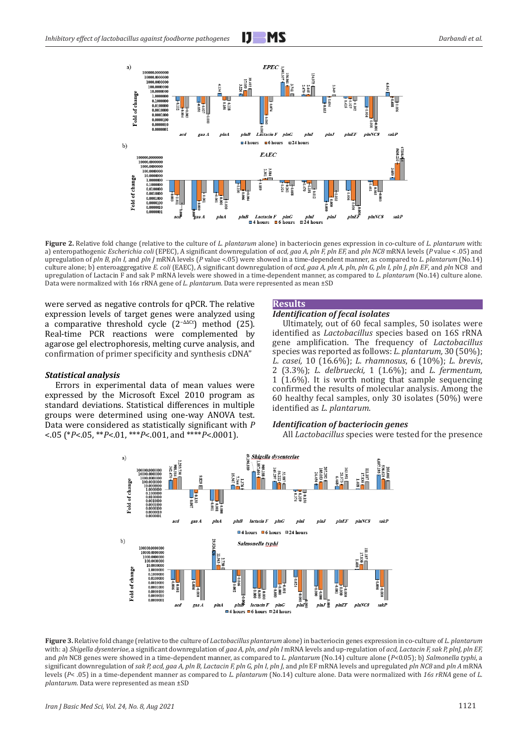

**Figure 2.** Relative fold change (relative to the culture of *L. plantarum* alone) in bacteriocin genes expression in co-culture of *L. plantarum* with: a) enteropathogenic *Escherichia coli* (EPEC), A significant downregulation of *acd, gaa A, pln F, pln EF,* and *pln NC8* mRNA levels (*P* value < .05) and upregulation of *pln B, pln I,* and *pln J* mRNA levels (*P* value <.05) were showed in a time-dependent manner, as compared to *L. plantarum* (No.14) culture alone; b) enteroaggregative *E. coli* (EAEC), A significant downregulation of *acd, gaa A, pln A, pln, pln G, pln I, pln J, pln EF*, and *pln* NC8 and upregulation of Lactacin F and sak P mRNA levels were showed in a time-dependent manner, as compared to *L. plantarum* (No.14) culture alone. Data were normalized with 16s rRNA gene of *L. plantarum*. Data were represented as mean ±SD

were served as negative controls for qPCR. The relative expression levels of target genes were analyzed using a comparative threshold cycle (2−ΔΔCt) method (25). Real-time PCR reactions were complemented by agarose gel electrophoresis, melting curve analysis, and confirmation of primer specificity and synthesis cDNA"

#### *Statistical analysis*

Errors in experimental data of mean values were expressed by the Microsoft Excel 2010 program as standard deviations. Statistical differences in multiple groups were determined using one-way ANOVA test. Data were considered as statistically significant with *P* <.05 (\**P*<.05, \*\**P*<.01, \*\*\**P*<.001, and \*\*\*\**P*<.0001).

## **Results**

## *Identification of fecal isolates*

Ultimately, out of 60 fecal samples, 50 isolates were identified as *Lactobacillus* species based on 16S rRNA gene amplification. The frequency of *Lactobacillus*  species was reported as follows: *L. plantarum,* 30 (50%); *L. casei,* 10 (16.6%); *L. rhamnosus*, 6 (10%); *L. brevis*, 2 (3.3%); *L. delbruecki,* 1 (1.6%); and *L. fermentum,* 1 (1.6%). It is worth noting that sample sequencing confirmed the results of molecular analysis. Among the 60 healthy fecal samples, only 30 isolates (50%) were identified as *L. plantarum*.

#### *Identification of bacteriocin genes*

All *Lactobacillus* species were tested for the presence



**Figure 3.** Relative fold change (relative to the culture of *Lactobacillus plantarum* alone) in bacteriocin genes expression in co-culture of *L. plantarum*  with: a) *Shigella dysenteriae*, a significant downregulation of *gaa A, pln, and pln I* mRNA levels and up-regulation of *acd, Lactacin F, sak P, plnJ, pln EF*, and *pln* NC8 genes were showed in a time-dependent manner, as compared to *L. plantarum* (No.14) culture alone (*P*<0.05); b) *Salmonella typhi*, a significant downregulation of *sak P, acd, gaa A, pln B, Lactacin F, pln G, pln I, pln J*, and *pln* EF mRNA levels and upregulated *pln NC8* and *pln A* mRNA levels (*P*< .05) in a time-dependent manner as compared to *L. plantarum* (No.14) culture alone. Data were normalized with *16s rRNA* gene of *L. plantarum*. Data were represented as mean ±SD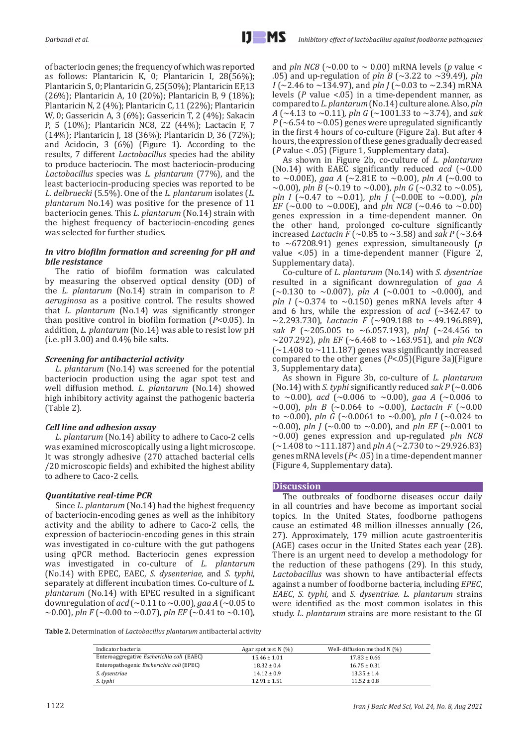of bacteriocin genes; the frequency of which was reported as follows: Plantaricin K, 0; Plantaricin I, 28(56%); Plantaricin S, 0; Plantaricin G, 25(50%); Plantaricin EF,13 (26%); Plantaricin A, 10 (20%); Plantaricin B, 9 (18%); Plantaricin N, 2 (4%); Plantaricin C, 11 (22%); Plantaricin W, 0; Gassericin A, 3 (6%); Gassericin T, 2 (4%); Sakacin P, 5 (10%); Plantaricin NC8, 22 (44%); Lactacin F, 7 (14%); Plantaricin J, 18 (36%); Plantaricin D, 36 (72%); and Acidocin, 3 (6%) (Figure 1). According to the results, 7 different *Lactobacillus* species had the ability to produce bacteriocin. The most bacteriocin-producing *Lactobacillus* species was *L. plantarum* (77%), and the least bacteriocin-producing species was reported to be *L. delbruecki* (5.5%). One of the *L. plantarum* isolates (*L. plantarum* No.14) was positive for the presence of 11 bacteriocin genes. This *L. plantarum* (No.14) strain with the highest frequency of bacteriocin-encoding genes was selected for further studies.

# *In vitro biofilm formation and screening for pH and bile resistance*

The ratio of biofilm formation was calculated by measuring the observed optical density (OD) of the *L. plantarum* (No.14) strain in comparison to *P. aeruginosa* as a positive control. The results showed that *L. plantarum* (No.14) was significantly stronger than positive control in biofilm formation (*P*<0.05). In addition, *L. plantarum* (No.14) was able to resist low pH (i.e. pH 3.00) and 0.4% bile salts.

# *Screening for antibacterial activity*

*L. plantarum* (No.14) was screened for the potential bacteriocin production using the agar spot test and well diffusion method. *L. plantarum* (No.14) showed high inhibitory activity against the pathogenic bacteria (Table 2).

# *Cell line and adhesion assay*

*L. plantarum* (No.14) ability to adhere to Caco-2 cells was examined microscopically using a light microscope. It was strongly adhesive (270 attached bacterial cells /20 microscopic fields) and exhibited the highest ability to adhere to Caco-2 cells.

# *Quantitative real-time PCR*

Since *L. plantarum* (No.14) had the highest frequency of bacteriocin-encoding genes as well as the inhibitory activity and the ability to adhere to Caco-2 cells, the expression of bacteriocin-encoding genes in this strain was investigated in co-culture with the gut pathogens using qPCR method. Bacteriocin genes expression was investigated in co-culture of *L. plantarum* (No.14) with EPEC, EAEC, *S. dysenteriae,* and *S. typhi*, separately at different incubation times. Co-culture of *L. plantarum* (No.14) with EPEC resulted in a significant downregulation of *acd* (~0.11 to ~0.00), *gaa A* (~0.05 to  $\sim$ 0.00), *pln F* ( $\sim$ 0.00 to  $\sim$ 0.07), *pln EF* ( $\sim$ 0.41 to  $\sim$ 0.10),

and *pln NC8* ( $\sim$ 0.00 to  $\sim$  0.00) mRNA levels (*p* value  $\lt$ .05) and up-regulation of *pln B* (~3.22 to ~39.49)*, pln I* (~2.46 to ~134.97), and *pln J* (~0.03 to ~2.34) mRNA levels (*P* value <.05) in a time-dependent manner, as compared to *L. plantarum* (No.14) culture alone. Also, *pln A* (~4.13 to ~0.11)*, pln G* (~1001.33 to ~3.74), and *sak*   $P(-6.54 \text{ to } -0.05)$  genes were upregulated significantly in the first 4 hours of co-culture (Figure 2a). But after 4 hours, the expression of these genes gradually decreased (*P* value < .05) (Figure 1, Supplementary data).

As shown in Figure 2b, co-culture of *L. plantarum* (No.14) with EAEC significantly reduced  $acd$  (~0.00 to ~0.00E), gaa A (~2.81E to ~0.00), pln A (~0.00 to  $\sim$ 0.00)*, pln B* ( $\sim$ 0.19 to  $\sim$ 0.00)*, pln G* ( $\sim$ 0.32 to  $\sim$ 0.05)*, pln I* ( $\sim$ 0.47 to  $\sim$ 0.01)*, pln J* ( $\sim$ 0.00E to  $\sim$ 0.00)*, pln EF* ( $\sim$ 0.00 to  $\sim$ 0.00E), and *pln NC8* ( $\sim$ 0.46 to  $\sim$ 0.00) genes expression in a time-dependent manner. On the other hand, prolonged co-culture significantly increased *Lactacin F* (~0.85 to ~3.58) and *sak P* (~3.64 to ~67208.91) genes expression, simultaneously (*p*  value <.05) in a time-dependent manner (Figure 2, Supplementary data).

Co-culture of *L. plantarum* (No.14) with *S. dysentriae*  resulted in a significant downregulation of *gaa A*   $(\sim 0.130$  to  $\sim 0.007$ ), *pln A* ( $\sim 0.001$  to  $\sim 0.000$ ), and *pln I* ( $\sim$ 0.374 to  $\sim$ 0.150) genes mRNA levels after 4 and 6 hrs, while the expression of  $acd$  ( $\sim$ 342.47 to  $\sim$ 2.293.730), *Lactacin F* ( $\sim$ 909.188 to  $\sim$ 49.196.889), *sak P* (~205.005 to ~6.057.193), *plnJ* (~24.456 to ~207.292), *pln EF* (~6.468 to ~163.951), and *pln NC8*  $\approx$  1.408 to  $\sim$  111.187) genes was significantly increased compared to the other genes (*P*<.05)(Figure 3a)(Figure 3, Supplementary data).

As shown in Figure 3b, co-culture of *L. plantarum* (No.14) with *S. typhi* significantly reduced *sak P*  $(-0.006$ to ~0.00)*, acd* (~0.006 to ~0.00), *gaa A* (~0.006 to  $\sim$ 0.00), pln B ( $\sim$ 0.064 to  $\sim$ 0.00), *Lactacin F* ( $\sim$ 0.00 to ~0.00), *pln G* (~0.0061 to ~0.00), *pln I* (~0.024 to  $\sim$ 0.00), *pln J* ( $\sim$ 0.00 to  $\sim$ 0.00), and *pln EF* ( $\sim$ 0.001 to ~0.00) genes expression and up-regulated *pln NC8*  (~1.408 to ~111.187) and *pln A* (~2.730 to ~29.926.83) genes mRNA levels (*P*< .05) in a time-dependent manner (Figure 4, Supplementary data).

# **Discussion**

The outbreaks of foodborne diseases occur daily in all countries and have become as important social topics. In the United States, foodborne pathogens cause an estimated 48 million illnesses annually (26, 27). Approximately, 179 million acute gastroenteritis (AGE) cases occur in the United States each year (28). There is an urgent need to develop a methodology for the reduction of these pathogens (29). In this study, *Lactobacillus* was shown to have antibacterial effects against a number of foodborne bacteria, including *EPEC*, *EAEC*, *S. typhi,* and *S. dysentriae. L. plantarum* strains were identified as the most common isolates in this study. *L. plantarum* strains are more resistant to the GI

**Table 2.** Determination of *Lactobacillus plantarum* antibacterial activity

| Indicator bacteria                        | Agar spot test $N$ (%) | Well- diffusion method N (%) |
|-------------------------------------------|------------------------|------------------------------|
| Enteroaggregative Escherichia coli (EAEC) | $15.46 \pm 1.01$       | $17.83 \pm 0.66$             |
| Enteropathogenic Escherichia coli (EPEC)  | $18.32 \pm 0.4$        | $16.75 \pm 0.31$             |
| S. dysentriae                             | $14.12 \pm 0.9$        | $13.35 \pm 1.4$              |
| S. typhi                                  | $12.91 \pm 1.51$       | $11.52 \pm 0.8$              |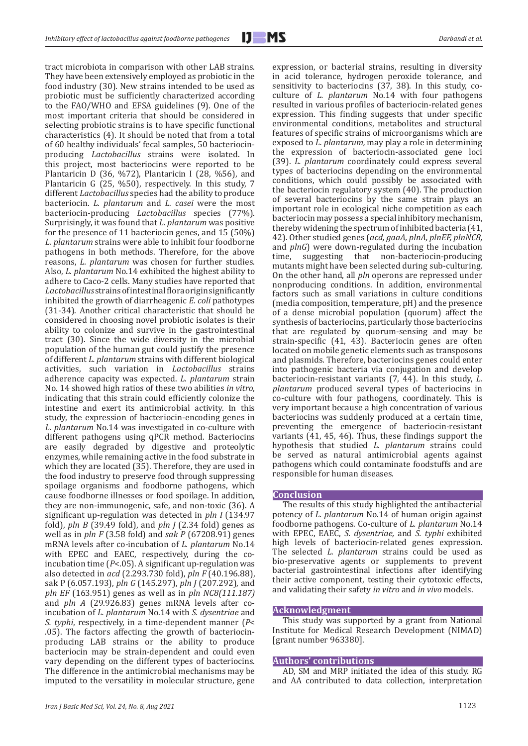tract microbiota in comparison with other LAB strains. They have been extensively employed as probiotic in the food industry (30). New strains intended to be used as probiotic must be sufficiently characterized according to the FAO/WHO and EFSA guidelines (9). One of the most important criteria that should be considered in selecting probiotic strains is to have specific functional characteristics (4). It should be noted that from a total of 60 healthy individuals' fecal samples, 50 bacteriocinproducing *Lactobacillus* strains were isolated. In this project, most bacteriocins were reported to be Plantaricin D (36, %72), Plantaricin I (28, %56), and Plantaricin G (25, %50), respectively. In this study, 7 different *Lactobacillus* species had the ability to produce bacteriocin. *L. plantarum* and *L. casei* were the most bacteriocin-producing *Lactobacillus* species (77%). Surprisingly, it was found that *L. plantarum* was positive for the presence of 11 bacteriocin genes, and 15 (50%) *L. plantarum* strains were able to inhibit four foodborne pathogens in both methods. Therefore, for the above reasons, *L. plantarum* was chosen for further studies. Also, *L. plantarum* No.14 exhibited the highest ability to adhere to Caco-2 cells. Many studies have reported that *Lactobacillus* strainsof intestinal flora origin significantly inhibited the growth of diarrheagenic *E. coli* pathotypes (31-34). Another critical characteristic that should be considered in choosing novel probiotic isolates is their ability to colonize and survive in the gastrointestinal tract (30). Since the wide diversity in the microbial population of the human gut could justify the presence of different *L. plantarum* strains with different biological activities, such variation in *Lactobacillus* strains adherence capacity was expected. *L. plantarum* strain No. 14 showed high ratios of these two abilities *in vitro*, indicating that this strain could efficiently colonize the intestine and exert its antimicrobial activity. In this study, the expression of bacteriocin-encoding genes in *L. plantarum* No.14 was investigated in co-culture with different pathogens using qPCR method. Bacteriocins are easily degraded by digestive and proteolytic enzymes, while remaining active in the food substrate in which they are located (35). Therefore, they are used in the food industry to preserve food through suppressing spoilage organisms and foodborne pathogens, which cause foodborne illnesses or food spoilage. In addition, they are non-immunogenic, safe, and non-toxic (36). A significant up-regulation was detected in *pln I* (134.97 fold), *pln B* (39.49 fold), and *pln J* (2.34 fold) genes as well as in *pln F* (3.58 fold) and *sak P* (67208.91) genes mRNA levels after co-incubation of *L. plantarum* No.14 with EPEC and EAEC, respectively, during the coincubation time (*P*<.05). A significant up-regulation was also detected in *acd* (2.293.730 fold), *pln F* (40.196.88), sak P (6.057.193), *pln G* (145.297), *pln J* (207.292), and *pln EF* (163.951) genes as well as in *pln NC8(111.187)* and *pln A* (29.926.83) genes mRNA levels after coincubation of *L. plantarum* No.14 with *S. dysentriae* and *S. typhi*, respectively, in a time-dependent manner (*P*< .05). The factors affecting the growth of bacteriocinproducing LAB strains or the ability to produce bacteriocin may be strain-dependent and could even vary depending on the different types of bacteriocins. The difference in the antimicrobial mechanisms may be imputed to the versatility in molecular structure, gene

expression, or bacterial strains, resulting in diversity in acid tolerance, hydrogen peroxide tolerance, and sensitivity to bacteriocins (37, 38). In this study, coculture of *L. plantarum* No.14 with four pathogens resulted in various profiles of bacteriocin-related genes expression. This finding suggests that under specific environmental conditions, metabolites and structural features of specific strains of microorganisms which are exposed to *L. plantarum,* may play a role in determining the expression of bacteriocin-associated gene loci (39). *L. plantarum* coordinately could express several types of bacteriocins depending on the environmental conditions, which could possibly be associated with the bacteriocin regulatory system (40). The production of several bacteriocins by the same strain plays an important role in ecological niche competition as each bacteriocin may possess a special inhibitory mechanism, thereby widening the spectrum of inhibited bacteria (41, 42). Other studied genes (*acd, gaaA, plnA, plnEF, plnNC8,*  and *plnG*) were down-regulated during the incubation time, suggesting that non-bacteriocin-producing mutants might have been selected during sub-culturing. On the other hand, all *pln* operons are repressed under nonproducing conditions. In addition, environmental factors such as small variations in culture conditions (media composition, temperature, pH) and the presence of a dense microbial population (quorum) affect the synthesis of bacteriocins, particularly those bacteriocins that are regulated by quorum-sensing and may be strain-specific (41, 43). Bacteriocin genes are often located on mobile genetic elements such as transposons and plasmids. Therefore, bacteriocins genes could enter into pathogenic bacteria via conjugation and develop bacteriocin-resistant variants (7, 44). In this study, *L. plantarum* produced several types of bacteriocins in co-culture with four pathogens, coordinately. This is very important because a high concentration of various bacteriocins was suddenly produced at a certain time, preventing the emergence of bacteriocin-resistant variants (41, 45, 46). Thus, these findings support the hypothesis that studied *L. plantarum* strains could be served as natural antimicrobial agents against pathogens which could contaminate foodstuffs and are responsible for human diseases.

#### **Conclusion**

The results of this study highlighted the antibacterial potency of *L. plantarum* No.14 of human origin against foodborne pathogens. Co-culture of *L. plantarum* No.14 with EPEC, EAEC, *S. dysentriae,* and *S. typhi* exhibited high levels of bacteriocin-related genes expression. The selected *L. plantarum* strains could be used as bio-preservative agents or supplements to prevent bacterial gastrointestinal infections after identifying their active component, testing their cytotoxic effects, and validating their safety *in vitro* and *in vivo* models.

#### **Acknowledgment**

This study was supported by a grant from National Institute for Medical Research Development (NIMAD) [grant number 963380].

# **Authors' contributions**

AD, SM and MRP initiated the idea of this study. RG and AA contributed to data collection, interpretation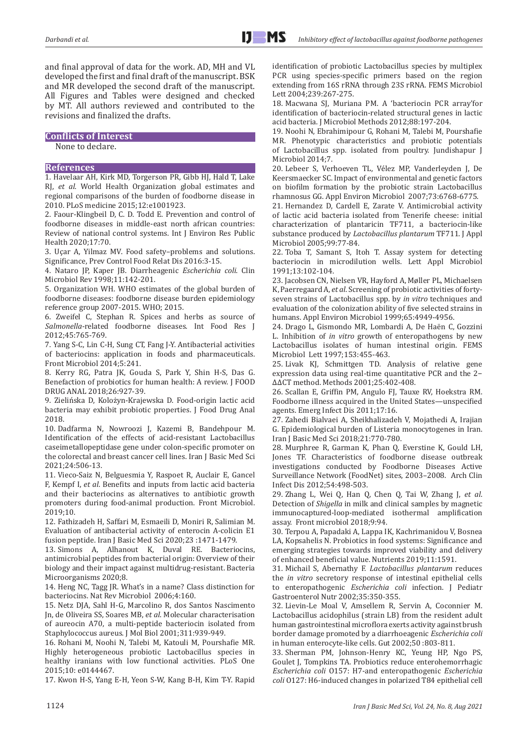and final approval of data for the work. AD, MH and VL developed the first and final draft of the manuscript. BSK and MR developed the second draft of the manuscript. All Figures and Tables were designed and checked by MT. All authors reviewed and contributed to the revisions and finalized the drafts.

## **Conflicts of Interest**

None to declare.

#### **References**

1. Havelaar AH, Kirk MD, Torgerson PR, Gibb HJ, Hald T, Lake RJ, *et al*. World Health Organization global estimates and regional comparisons of the burden of foodborne disease in 2010. PLoS medicine 2015;12:e1001923.

2. Faour-Klingbeil D, C. D. Todd E. Prevention and control of foodborne diseases in middle-east north african countries: Review of national control systems. Int J Environ Res Public Health 2020;17:70.

3. Uçar A, Yilmaz MV. Food safety–problems and solutions. Significance, Prev Control Food Relat Dis 2016:3-15.

4. Nataro JP, Kaper JB. Diarrheagenic *Escherichia coli*. Clin Microbiol Rev 1998;11:142-201.

5. Organization WH. WHO estimates of the global burden of foodborne diseases: foodborne disease burden epidemiology reference group 2007-2015. WHO; 2015.

6. Zweifel C, Stephan R. Spices and herbs as source of *Salmonella*-related foodborne diseases. Int Food Res J 2012;45:765-769.

7. Yang S-C, Lin C-H, Sung CT, Fang J-Y. Antibacterial activities of bacteriocins: application in foods and pharmaceuticals. Front Microbiol 2014;5:241.

8. Kerry RG, Patra JK, Gouda S, Park Y, Shin H-S, Das G. Benefaction of probiotics for human health: A review. J FOOD DRUG ANAL 2018;26:927-39.

9. Zielińska D, Kolożyn-Krajewska D. Food-origin lactic acid bacteria may exhibit probiotic properties. J Food Drug Anal 2018.

10. Dadfarma N, Nowroozi J, Kazemi B, Bandehpour M. Identification of the effects of acid-resistant Lactobacillus caseimetallopeptidase gene under colon-specific promoter on the colorectal and breast cancer cell lines. Iran J Basic Med Sci 2021;24:506-13.

11. Vieco-Saiz N, Belguesmia Y, Raspoet R, Auclair E, Gancel F, Kempf I, *et al*. Benefits and inputs from lactic acid bacteria and their bacteriocins as alternatives to antibiotic growth promoters during food-animal production. Front Microbiol.  $2019:10$ 

12. Fathizadeh H, Saffari M, Esmaeili D, Moniri R, Salimian M. Evaluation of antibacterial activity of enterocin A-colicin E1 fusion peptide. Iran J Basic Med Sci 2020;23 :1471-1479.

13. Simons A, Alhanout K, Duval RE. Bacteriocins, antimicrobial peptides from bacterial origin: Overview of their biology and their impact against multidrug-resistant. Bacteria Microorganisms 2020;8.

14. Heng NC, Tagg JR. What's in a name? Class distinction for bacteriocins. Nat Rev Microbiol 2006;4:160.

15. Netz DJA, Sahl H-G, Marcolino R, dos Santos Nascimento Jn, de Oliveira SS, Soares MB, *et al*. Molecular characterisation of aureocin A70, a multi-peptide bacteriocin isolated from Staphylococcus aureus. J Mol Biol 2001;311:939-949.

16. Rohani M, Noohi N, Talebi M, Katouli M, Pourshafie MR. Highly heterogeneous probiotic Lactobacillus species in healthy iranians with low functional activities. PLoS One 2015;10: e0144467.

17. Kwon H-S, Yang E-H, Yeon S-W, Kang B-H, Kim T-Y. Rapid

identification of probiotic Lactobacillus species by multiplex PCR using species-specific primers based on the region extending from 16S rRNA through 23S rRNA. FEMS Microbiol Lett 2004;239:267-275.

18. Macwana SJ, Muriana PM. A 'bacteriocin PCR array'for identification of bacteriocin-related structural genes in lactic acid bacteria. J Microbiol Methods 2012;88:197-204.

19. Noohi N, Ebrahimipour G, Rohani M, Talebi M, Pourshafie MR. Phenotypic characteristics and probiotic potentials of Lactobacillus spp. isolated from poultry. Jundishapur J Microbiol 2014;7.

20. Lebeer S, Verhoeven TL, Vélez MP, Vanderleyden J, De Keersmaecker SC. Impact of environmental and genetic factors on biofilm formation by the probiotic strain Lactobacillus rhamnosus GG. Appl Environ Microbiol 2007;73:6768-6775.

21. Hernandez D, Cardell E, Zarate V. Antimicrobial activity of lactic acid bacteria isolated from Tenerife cheese: initial characterization of plantaricin TF711, a bacteriocin‐like substance produced by *Lactobacillus plantarum* TF711. J Appl Microbiol 2005;99:77-84.

22. Toba T, Samant S, Itoh T. Assay system for detecting bacteriocin in microdilution wells. Lett Appl Microbiol 1991;13:102-104.

23. Jacobsen CN, Nielsen VR, Hayford A, Møller PL, Michaelsen K, Paerregaard A, *et al*. Screening of probiotic activities of fortyseven strains of Lactobacillus spp. by *in vitro* techniques and evaluation of the colonization ability of five selected strains in humans. Appl Environ Microbiol 1999;65:4949-4956.

24. Drago L, Gismondo MR, Lombardi A, De Haën C, Gozzini L. Inhibition of *in vitro* growth of enteropathogens by new Lactobacillus isolates of human intestinal origin. FEMS Microbiol Lett 1997;153:455-463.

25. Livak KJ, Schmittgen TD. Analysis of relative gene expression data using real-time quantitative PCR and the 2− ΔΔCT method. Methods 2001;25:402-408.

26. Scallan E, Griffin PM, Angulo FJ, Tauxe RV, Hoekstra RM. Foodborne illness acquired in the United States—unspecified agents. Emerg Infect Dis 2011;17:16.

27. Zahedi Bialvaei A, Sheikhalizadeh V, Mojathedi A, Irajian G. Epidemiological burden of Listeria monocytogenes in Iran. Iran J Basic Med Sci 2018;21:770-780.

28. Murphree R, Garman K, Phan Q, Everstine K, Gould LH, Jones TF. Characteristics of foodborne disease outbreak investigations conducted by Foodborne Diseases Active Surveillance Network (FoodNet) sites, 2003–2008. Arch Clin Infect Dis 2012;54:498-503.

29. Zhang L, Wei Q, Han Q, Chen Q, Tai W, Zhang J, *et al*. Detection of *Shigella* in milk and clinical samples by magnetic immunocaptured-loop-mediated isothermal amplification assay. Front microbiol 2018;9:94.

30. Terpou A, Papadaki A, Lappa IK, Kachrimanidou V, Bosnea LA, Kopsahelis N. Probiotics in food systems: Significance and emerging strategies towards improved viability and delivery of enhanced beneficial value. Nutrients 2019;11:1591.

31. Michail S, Abernathy F. *Lactobacillus plantarum* reduces the *in vitro* secretory response of intestinal epithelial cells to enteropathogenic *Escherichia coli* infection. J Pediatr Gastroenterol Nutr 2002;35:350-355.

32. Lievin-Le Moal V, Amsellem R, Servin A, Coconnier M. Lactobacillus acidophilus (strain LB) from the resident adult human gastrointestinal microflora exerts activity against brush border damage promoted by a diarrhoeagenic *Escherichia coli* in human enterocyte-like cells. Gut 2002;50 :803-811.

33. Sherman PM, Johnson-Henry KC, Yeung HP, Ngo PS, Goulet J, Tompkins TA. Probiotics reduce enterohemorrhagic *Escherichia coli* O157: H7-and enteropathogenic *Escherichia coli* O127: H6-induced changes in polarized T84 epithelial cell